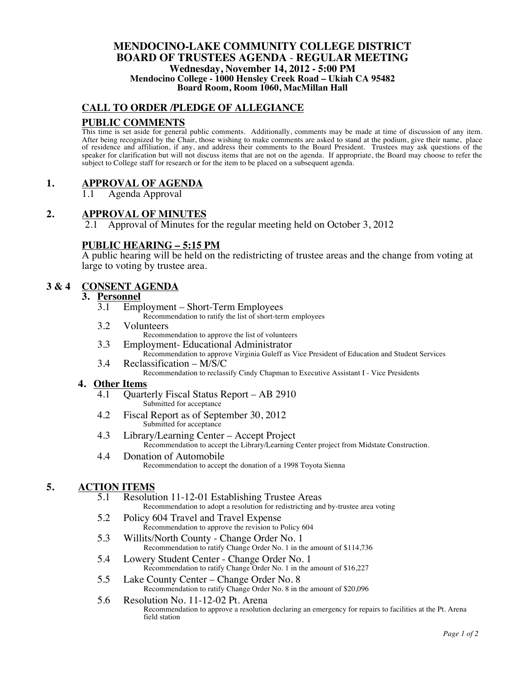#### **MENDOCINO-LAKE COMMUNITY COLLEGE DISTRICT BOARD OF TRUSTEES AGENDA** - **REGULAR MEETING Wednesday, November 14, 2012 - 5:00 PM Mendocino College - 1000 Hensley Creek Road – Ukiah CA 95482 Board Room, Room 1060, MacMillan Hall**

## **CALL TO ORDER /PLEDGE OF ALLEGIANCE**

## **PUBLIC COMMENTS**

This time is set aside for general public comments. Additionally, comments may be made at time of discussion of any item. After being recognized by the Chair, those wishing to make comments are asked to stand at the podium, give their name, place of residence and affiliation, if any, and address their comments to the Board President. Trustees may ask questions of the speaker for clarification but will not discuss items that are not on the agenda. If appropriate, the Board may choose to refer the subject to College staff for research or for the item to be placed on a subsequent agenda.

# **1. APPROVAL OF AGENDA**

1.1 Agenda Approval

## **2. APPROVAL OF MINUTES**

2.1 Approval of Minutes for the regular meeting held on October 3, 2012

# **PUBLIC HEARING – 5:15 PM**

A public hearing will be held on the redistricting of trustee areas and the change from voting at large to voting by trustee area.

## **3 & 4 CONSENT AGENDA**

#### **3. Personnel**

3.1 Employment – Short-Term Employees

Recommendation to ratify the list of short-term employees

- 3.2 Volunteers Recommendation to approve the list of volunteers
- 3.3 Employment- Educational Administrator
- Recommendation to approve Virginia Guleff as Vice President of Education and Student Services 3.4 Reclassification – M/S/C

Recommendation to reclassify Cindy Chapman to Executive Assistant I - Vice Presidents

#### **4. Other Items**

- 4.1 Quarterly Fiscal Status Report AB 2910 Submitted for acceptance
- 4.2 Fiscal Report as of September 30, 2012 Submitted for acceptance
- 4.3 Library/Learning Center Accept Project Recommendation to accept the Library/Learning Center project from Midstate Construction.
- 4.4 Donation of Automobile Recommendation to accept the donation of a 1998 Toyota Sienna

## **5. ACTION ITEMS**

- 5.1 Resolution 11-12-01 Establishing Trustee Areas Recommendation to adopt a resolution for redistricting and by-trustee area voting
- 5.2 Policy 604 Travel and Travel Expense Recommendation to approve the revision to Policy 604
- 5.3 Willits/North County Change Order No. 1 Recommendation to ratify Change Order No. 1 in the amount of \$114,736
- 5.4 Lowery Student Center Change Order No. 1 Recommendation to ratify Change Order No. 1 in the amount of \$16,227
- 5.5 Lake County Center Change Order No. 8 Recommendation to ratify Change Order No. 8 in the amount of \$20,096
- 5.6 Resolution No. 11-12-02 Pt. Arena Recommendation to approve a resolution declaring an emergency for repairs to facilities at the Pt. Arena field station